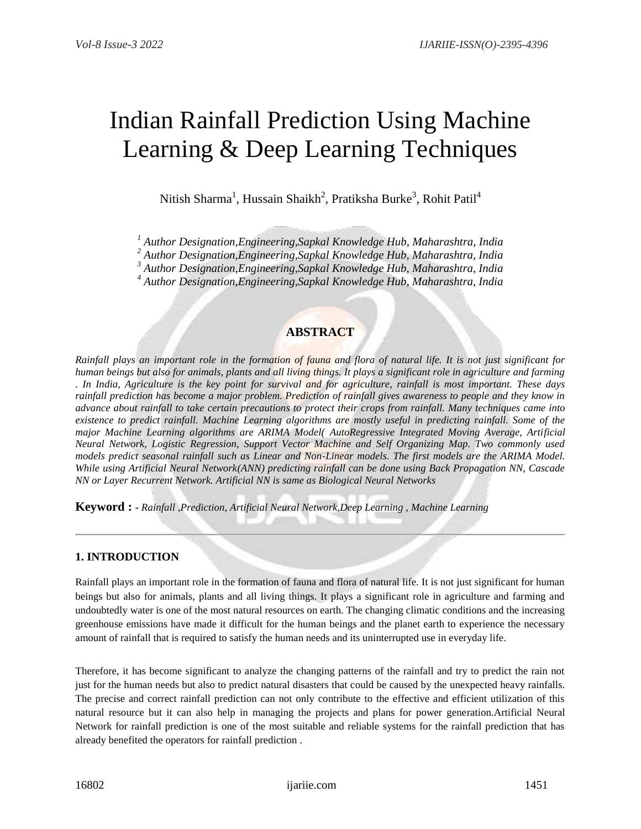# Indian Rainfall Prediction Using Machine Learning & Deep Learning Techniques

Nitish Sharma<sup>1</sup>, Hussain Shaikh<sup>2</sup>, Pratiksha Burke<sup>3</sup>, Rohit Patil<sup>4</sup>

*<sup>1</sup> Author Designation,Engineering,Sapkal Knowledge Hub, Maharashtra, India*

*<sup>2</sup> Author Designation,Engineering,Sapkal Knowledge Hub, Maharashtra, India*

*<sup>3</sup> Author Designation,Engineering,Sapkal Knowledge Hub, Maharashtra, India*

*<sup>4</sup> Author Designation,Engineering,Sapkal Knowledge Hub, Maharashtra, India*

# **ABSTRACT**

*Rainfall plays an important role in the formation of fauna and flora of natural life. It is not just significant for human beings but also for animals, plants and all living things. It plays a significant role in agriculture and farming . In India, Agriculture is the key point for survival and for agriculture, rainfall is most important. These days rainfall prediction has become a major problem. Prediction of rainfall gives awareness to people and they know in advance about rainfall to take certain precautions to protect their crops from rainfall. Many techniques came into existence to predict rainfall. Machine Learning algorithms are mostly useful in predicting rainfall. Some of the major Machine Learning algorithms are ARIMA Model( AutoRegressive Integrated Moving Average, Artificial Neural Network, Logistic Regression, Support Vector Machine and Self Organizing Map. Two commonly used models predict seasonal rainfall such as Linear and Non-Linear models. The first models are the ARIMA Model. While using Artificial Neural Network(ANN) predicting rainfall can be done using Back Propagation NN, Cascade NN or Layer Recurrent Network. Artificial NN is same as Biological Neural Networks*

**Keyword : -** *Rainfall ,Prediction, Artificial Neural Network,Deep Learning , Machine Learning*

# **1. INTRODUCTION**

Rainfall plays an important role in the formation of fauna and flora of natural life. It is not just significant for human beings but also for animals, plants and all living things. It plays a significant role in agriculture and farming and undoubtedly water is one of the most natural resources on earth. The changing climatic conditions and the increasing greenhouse emissions have made it difficult for the human beings and the planet earth to experience the necessary amount of rainfall that is required to satisfy the human needs and its uninterrupted use in everyday life.

Therefore, it has become significant to analyze the changing patterns of the rainfall and try to predict the rain not just for the human needs but also to predict natural disasters that could be caused by the unexpected heavy rainfalls. The precise and correct rainfall prediction can not only contribute to the effective and efficient utilization of this natural resource but it can also help in managing the projects and plans for power generation.Artificial Neural Network for rainfall prediction is one of the most suitable and reliable systems for the rainfall prediction that has already benefited the operators for rainfall prediction .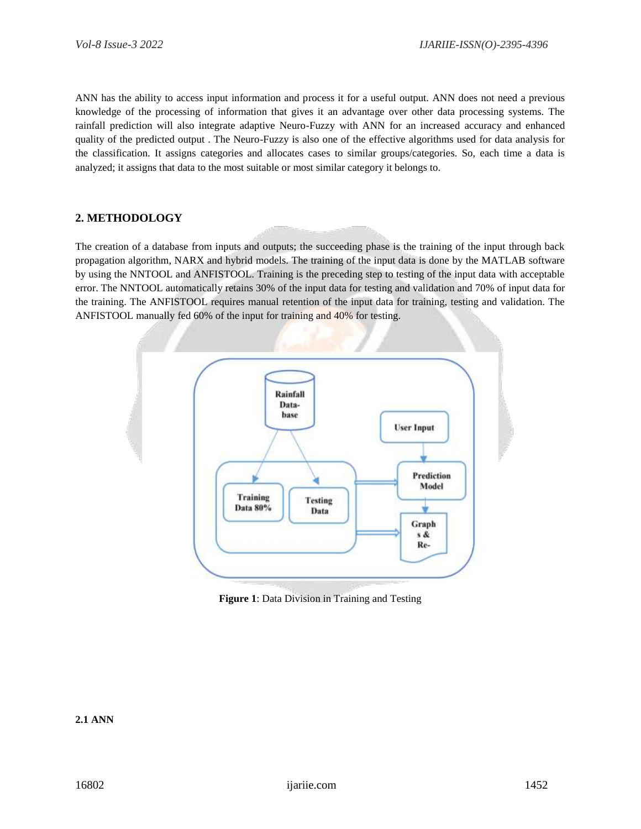ANN has the ability to access input information and process it for a useful output. ANN does not need a previous knowledge of the processing of information that gives it an advantage over other data processing systems. The rainfall prediction will also integrate adaptive Neuro-Fuzzy with ANN for an increased accuracy and enhanced quality of the predicted output . The Neuro-Fuzzy is also one of the effective algorithms used for data analysis for the classification. It assigns categories and allocates cases to similar groups/categories. So, each time a data is analyzed; it assigns that data to the most suitable or most similar category it belongs to.

# **2. METHODOLOGY**

The creation of a database from inputs and outputs; the succeeding phase is the training of the input through back propagation algorithm, NARX and hybrid models. The training of the input data is done by the MATLAB software by using the NNTOOL and ANFISTOOL. Training is the preceding step to testing of the input data with acceptable error. The NNTOOL automatically retains 30% of the input data for testing and validation and 70% of input data for the training. The ANFISTOOL requires manual retention of the input data for training, testing and validation. The ANFISTOOL manually fed 60% of the input for training and 40% for testing.



**Figure 1**: Data Division in Training and Testing

# **2.1 ANN**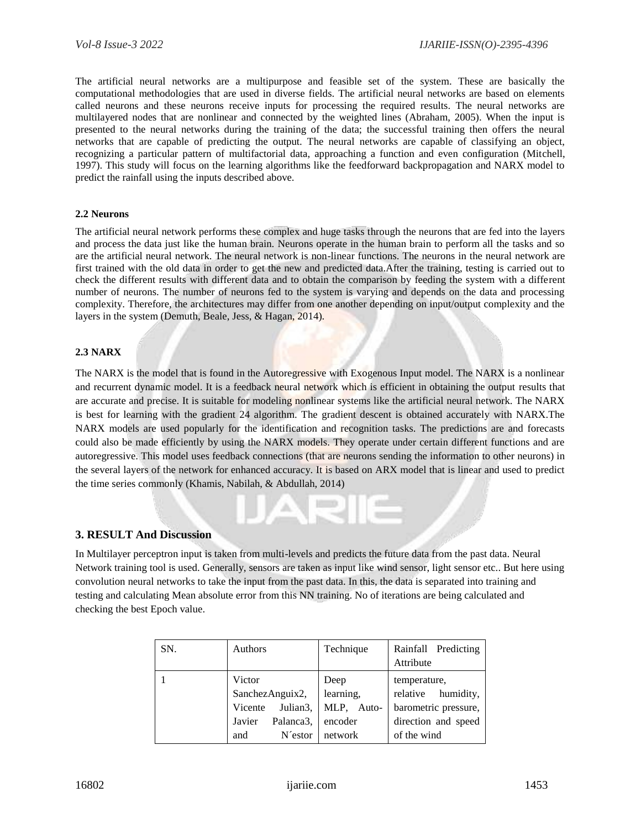The artificial neural networks are a multipurpose and feasible set of the system. These are basically the computational methodologies that are used in diverse fields. The artificial neural networks are based on elements called neurons and these neurons receive inputs for processing the required results. The neural networks are multilayered nodes that are nonlinear and connected by the weighted lines (Abraham, 2005). When the input is presented to the neural networks during the training of the data; the successful training then offers the neural networks that are capable of predicting the output. The neural networks are capable of classifying an object, recognizing a particular pattern of multifactorial data, approaching a function and even configuration (Mitchell, 1997). This study will focus on the learning algorithms like the feedforward backpropagation and NARX model to predict the rainfall using the inputs described above.

#### **2.2 Neurons**

The artificial neural network performs these complex and huge tasks through the neurons that are fed into the layers and process the data just like the human brain. Neurons operate in the human brain to perform all the tasks and so are the artificial neural network. The neural network is non-linear functions. The neurons in the neural network are first trained with the old data in order to get the new and predicted data.After the training, testing is carried out to check the different results with different data and to obtain the comparison by feeding the system with a different number of neurons. The number of neurons fed to the system is varying and depends on the data and processing complexity. Therefore, the architectures may differ from one another depending on input/output complexity and the layers in the system (Demuth, Beale, Jess, & Hagan, 2014).

## **2.3 NARX**

The NARX is the model that is found in the Autoregressive with Exogenous Input model. The NARX is a nonlinear and recurrent dynamic model. It is a feedback neural network which is efficient in obtaining the output results that are accurate and precise. It is suitable for modeling nonlinear systems like the artificial neural network. The NARX is best for learning with the gradient 24 algorithm. The gradient descent is obtained accurately with NARX.The NARX models are used popularly for the identification and recognition tasks. The predictions are and forecasts could also be made efficiently by using the NARX models. They operate under certain different functions and are autoregressive. This model uses feedback connections (that are neurons sending the information to other neurons) in the several layers of the network for enhanced accuracy. It is based on ARX model that is linear and used to predict the time series commonly (Khamis, Nabilah, & Abdullah, 2014)

### **3. RESULT And Discussion**

In Multilayer perceptron input is taken from multi-levels and predicts the future data from the past data. Neural Network training tool is used. Generally, sensors are taken as input like wind sensor, light sensor etc.. But here using convolution neural networks to take the input from the past data. In this, the data is separated into training and testing and calculating Mean absolute error from this NN training. No of iterations are being calculated and checking the best Epoch value.

| SN. | Authors             | Technique  | Rainfall Predicting<br>Attribute |
|-----|---------------------|------------|----------------------------------|
|     | Victor              | Deep       | temperature,                     |
|     | SanchezAnguix2,     | learning,  | relative humidity,               |
|     | Julian3,<br>Vicente | MLP, Auto- | barometric pressure,             |
|     | Palanca3,<br>Javier | encoder    | direction and speed              |
|     | N'estor<br>and      | network    | of the wind                      |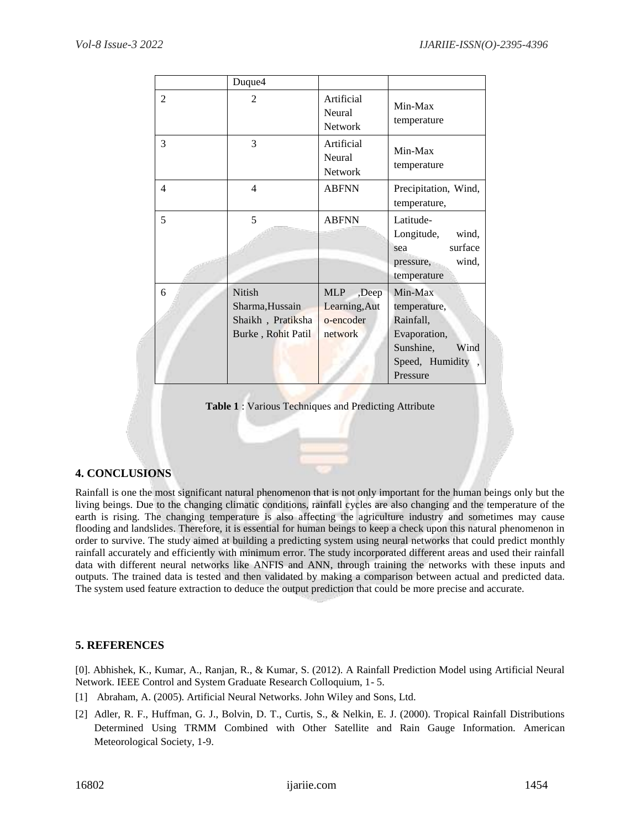|                | Duque4                                                                      |                                                              |                                                                                                          |
|----------------|-----------------------------------------------------------------------------|--------------------------------------------------------------|----------------------------------------------------------------------------------------------------------|
| $\overline{2}$ | $\overline{2}$                                                              | Artificial<br>Neural<br><b>Network</b>                       | Min-Max<br>temperature                                                                                   |
| 3              | 3                                                                           | Artificial<br>Neural<br>Network                              | Min-Max<br>temperature                                                                                   |
| 4              | $\overline{4}$                                                              | <b>ABFNN</b>                                                 | Precipitation, Wind,<br>temperature,                                                                     |
| 5              | 5                                                                           | <b>ABFNN</b>                                                 | Latitude-<br>Longitude,<br>wind,<br>surface<br>sea<br>wind,<br>pressure,<br>temperature                  |
| 6              | <b>Nitish</b><br>Sharma, Hussain<br>Shaikh, Pratiksha<br>Burke, Rohit Patil | <b>MLP</b><br>,Deep<br>Learning, Aut<br>o-encoder<br>network | Min-Max<br>temperature,<br>Rainfall,<br>Evaporation,<br>Sunshine,<br>Wind<br>Speed, Humidity<br>Pressure |

**Table 1** : Various Techniques and Predicting Attribute

# **4. CONCLUSIONS**

Rainfall is one the most significant natural phenomenon that is not only important for the human beings only but the living beings. Due to the changing climatic conditions, rainfall cycles are also changing and the temperature of the earth is rising. The changing temperature is also affecting the agriculture industry and sometimes may cause flooding and landslides. Therefore, it is essential for human beings to keep a check upon this natural phenomenon in order to survive. The study aimed at building a predicting system using neural networks that could predict monthly rainfall accurately and efficiently with minimum error. The study incorporated different areas and used their rainfall data with different neural networks like ANFIS and ANN, through training the networks with these inputs and outputs. The trained data is tested and then validated by making a comparison between actual and predicted data. The system used feature extraction to deduce the output prediction that could be more precise and accurate.

# **5. REFERENCES**

[0]. Abhishek, K., Kumar, A., Ranjan, R., & Kumar, S. (2012). A Rainfall Prediction Model using Artificial Neural Network. IEEE Control and System Graduate Research Colloquium, 1- 5.

- [1] Abraham, A. (2005). Artificial Neural Networks. John Wiley and Sons, Ltd.
- [2] Adler, R. F., Huffman, G. J., Bolvin, D. T., Curtis, S., & Nelkin, E. J. (2000). Tropical Rainfall Distributions Determined Using TRMM Combined with Other Satellite and Rain Gauge Information. American Meteorological Society, 1-9.